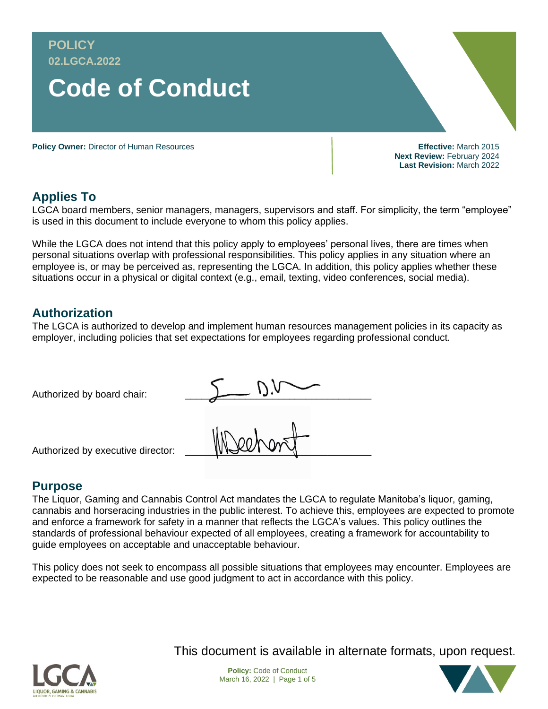

**Applies To**

LGCA board members, senior managers, managers, supervisors and staff. For simplicity, the term "employee" is used in this document to include everyone to whom this policy applies.

While the LGCA does not intend that this policy apply to employees' personal lives, there are times when personal situations overlap with professional responsibilities. This policy applies in any situation where an employee is, or may be perceived as, representing the LGCA. In addition, this policy applies whether these situations occur in a physical or digital context (e.g., email, texting, video conferences, social media).

## **Authorization**

The LGCA is authorized to develop and implement human resources management policies in its capacity as employer, including policies that set expectations for employees regarding professional conduct.

| Authorized by board chair:        |   |
|-----------------------------------|---|
| Authorized by executive director: | W |

## **Purpose**

The Liquor, Gaming and Cannabis Control Act mandates the LGCA to regulate Manitoba's liquor, gaming, cannabis and horseracing industries in the public interest. To achieve this, employees are expected to promote and enforce a framework for safety in a manner that reflects the LGCA's values. This policy outlines the standards of professional behaviour expected of all employees, creating a framework for accountability to guide employees on acceptable and unacceptable behaviour.

This policy does not seek to encompass all possible situations that employees may encounter. Employees are expected to be reasonable and use good judgment to act in accordance with this policy.



This document is available in alternate formats, upon request.



**Last Revision:** March 2022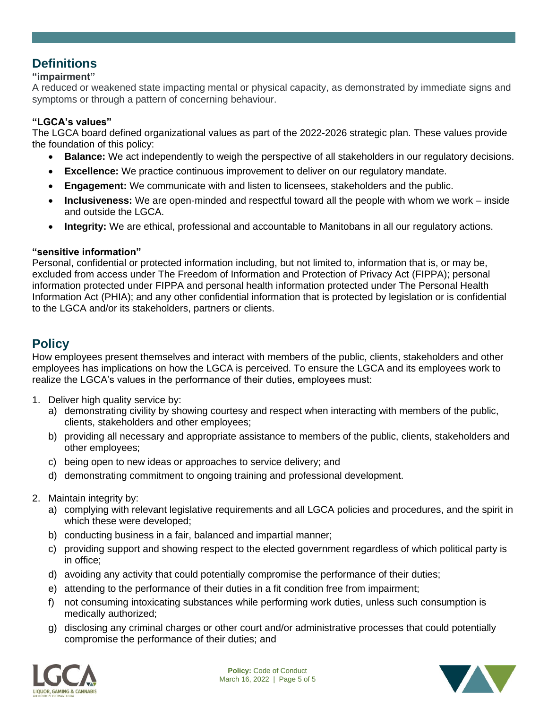# **Definitions**

## **"impairment"**

A reduced or weakened state impacting mental or physical capacity, as demonstrated by immediate signs and symptoms or through a pattern of concerning behaviour.

### **"LGCA's values"**

The LGCA board defined organizational values as part of the 2022-2026 strategic plan. These values provide the foundation of this policy:

- **Balance:** We act independently to weigh the perspective of all stakeholders in our regulatory decisions.
- **Excellence:** We practice continuous improvement to deliver on our regulatory mandate.
- **Engagement:** We communicate with and listen to licensees, stakeholders and the public.
- **Inclusiveness:** We are open-minded and respectful toward all the people with whom we work inside and outside the LGCA.
- **Integrity:** We are ethical, professional and accountable to Manitobans in all our regulatory actions.

### **"sensitive information"**

Personal, confidential or protected information including, but not limited to, information that is, or may be, excluded from access under The Freedom of Information and Protection of Privacy Act (FIPPA); personal information protected under FIPPA and personal health information protected under The Personal Health Information Act (PHIA); and any other confidential information that is protected by legislation or is confidential to the LGCA and/or its stakeholders, partners or clients.

# **Policy**

How employees present themselves and interact with members of the public, clients, stakeholders and other employees has implications on how the LGCA is perceived. To ensure the LGCA and its employees work to realize the LGCA's values in the performance of their duties, employees must:

- 1. Deliver high quality service by:
	- a) demonstrating civility by showing courtesy and respect when interacting with members of the public, clients, stakeholders and other employees;
	- b) providing all necessary and appropriate assistance to members of the public, clients, stakeholders and other employees;
	- c) being open to new ideas or approaches to service delivery; and
	- d) demonstrating commitment to ongoing training and professional development.
- 2. Maintain integrity by:
	- a) complying with relevant legislative requirements and all LGCA policies and procedures, and the spirit in which these were developed;
	- b) conducting business in a fair, balanced and impartial manner;
	- c) providing support and showing respect to the elected government regardless of which political party is in office;
	- d) avoiding any activity that could potentially compromise the performance of their duties;
	- e) attending to the performance of their duties in a fit condition free from impairment;
	- f) not consuming intoxicating substances while performing work duties, unless such consumption is medically authorized;
	- g) disclosing any criminal charges or other court and/or administrative processes that could potentially compromise the performance of their duties; and



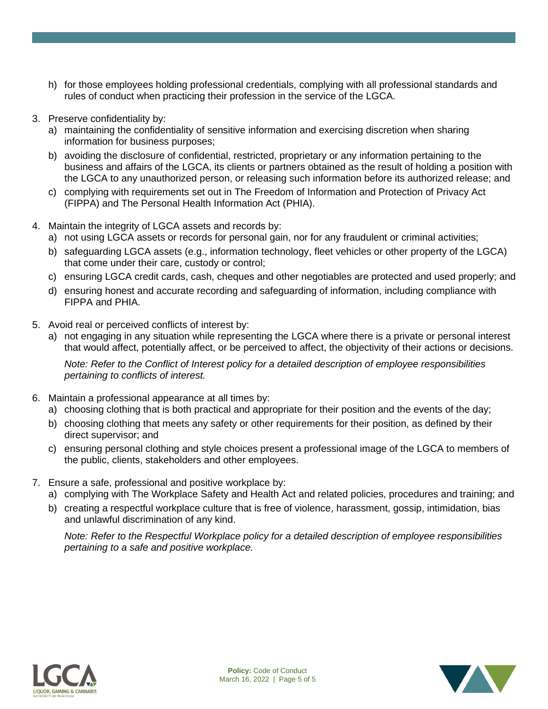- h) for those employees holding professional credentials, complying with all professional standards and rules of conduct when practicing their profession in the service of the LGCA.
- 3. Preserve confidentiality by:
	- a) maintaining the confidentiality of sensitive information and exercising discretion when sharing information for business purposes;
	- b) avoiding the disclosure of confidential, restricted, proprietary or any information pertaining to the business and affairs of the LGCA, its clients or partners obtained as the result of holding a position with the LGCA to any unauthorized person, or releasing such information before its authorized release; and
	- c) complying with requirements set out in The Freedom of Information and Protection of Privacy Act (FIPPA) and The Personal Health Information Act (PHIA).
- 4. Maintain the integrity of LGCA assets and records by:
	- a) not using LGCA assets or records for personal gain, nor for any fraudulent or criminal activities;
	- b) safeguarding LGCA assets (e.g., information technology, fleet vehicles or other property of the LGCA) that come under their care, custody or control;
	- c) ensuring LGCA credit cards, cash, cheques and other negotiables are protected and used properly; and
	- d) ensuring honest and accurate recording and safeguarding of information, including compliance with FIPPA and PHIA.
- 5. Avoid real or perceived conflicts of interest by:
	- a) not engaging in any situation while representing the LGCA where there is a private or personal interest that would affect, potentially affect, or be perceived to affect, the objectivity of their actions or decisions.

*Note: Refer to the Conflict of Interest policy for a detailed description of employee responsibilities pertaining to conflicts of interest.*

- 6. Maintain a professional appearance at all times by:
	- a) choosing clothing that is both practical and appropriate for their position and the events of the day;
	- b) choosing clothing that meets any safety or other requirements for their position, as defined by their direct supervisor; and
	- c) ensuring personal clothing and style choices present a professional image of the LGCA to members of the public, clients, stakeholders and other employees.
- 7. Ensure a safe, professional and positive workplace by:
	- a) complying with The Workplace Safety and Health Act and related policies, procedures and training; and
	- b) creating a respectful workplace culture that is free of violence, harassment, gossip, intimidation, bias and unlawful discrimination of any kind.

*Note: Refer to the Respectful Workplace policy for a detailed description of employee responsibilities pertaining to a safe and positive workplace.*



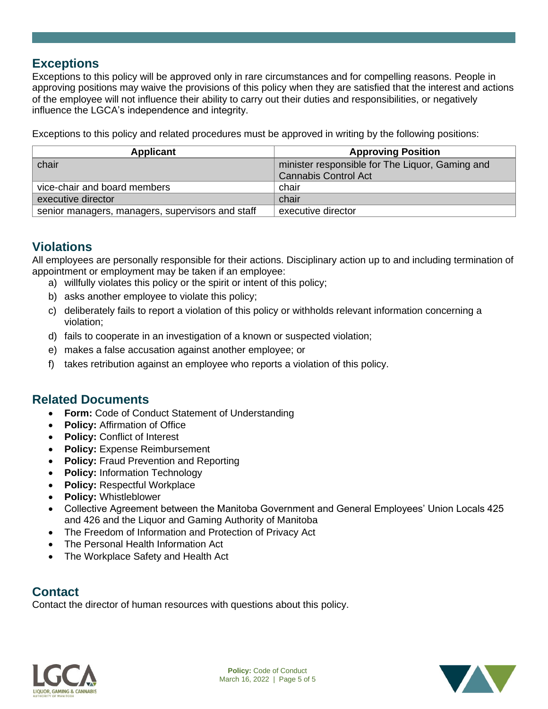## **Exceptions**

Exceptions to this policy will be approved only in rare circumstances and for compelling reasons. People in approving positions may waive the provisions of this policy when they are satisfied that the interest and actions of the employee will not influence their ability to carry out their duties and responsibilities, or negatively influence the LGCA's independence and integrity.

Exceptions to this policy and related procedures must be approved in writing by the following positions:

| Applicant                                        | <b>Approving Position</b>                       |
|--------------------------------------------------|-------------------------------------------------|
| chair                                            | minister responsible for The Liquor, Gaming and |
|                                                  | <b>Cannabis Control Act</b>                     |
| vice-chair and board members                     | chair                                           |
| executive director                               | chair                                           |
| senior managers, managers, supervisors and staff | executive director                              |

## **Violations**

All employees are personally responsible for their actions. Disciplinary action up to and including termination of appointment or employment may be taken if an employee:

- a) willfully violates this policy or the spirit or intent of this policy;
- b) asks another employee to violate this policy;
- c) deliberately fails to report a violation of this policy or withholds relevant information concerning a violation;
- d) fails to cooperate in an investigation of a known or suspected violation;
- e) makes a false accusation against another employee; or
- f) takes retribution against an employee who reports a violation of this policy.

## **Related Documents**

- **Form:** Code of Conduct Statement of Understanding
- **Policy: Affirmation of Office**
- **Policy: Conflict of Interest**
- **Policy:** Expense Reimbursement
- **Policy:** Fraud Prevention and Reporting
- **Policy:** Information Technology
- **Policy: Respectful Workplace**
- **Policy:** Whistleblower
- Collective Agreement between the Manitoba Government and General Employees' Union Locals 425 and 426 and the Liquor and Gaming Authority of Manitoba
- The Freedom of Information and Protection of Privacy Act
- The Personal Health Information Act
- The Workplace Safety and Health Act

## **Contact**

Contact the director of human resources with questions about this policy.